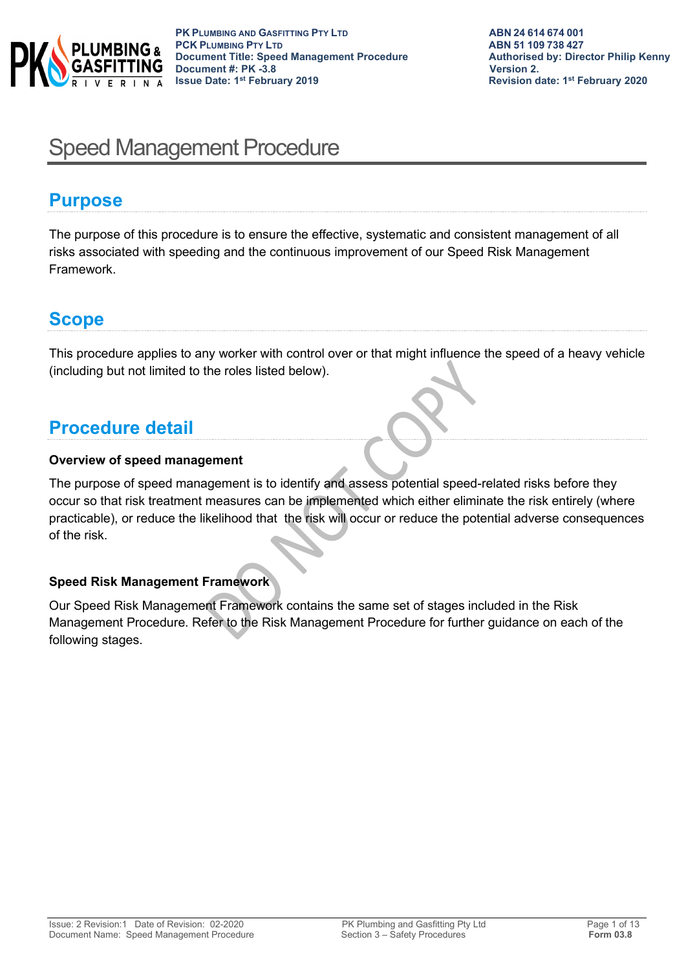

# Speed Management Procedure

# **Purpose**

The purpose of this procedure is to ensure the effective, systematic and consistent management of all risks associated with speeding and the continuous improvement of our Speed Risk Management Framework.

# **Scope**

This procedure applies to any worker with control over or that might influence the speed of a heavy vehicle (including but not limited to the roles listed below).

# **Procedure detail**

### **Overview of speed management**

The purpose of speed management is to identify and assess potential speed-related risks before they occur so that risk treatment measures can be implemented which either eliminate the risk entirely (where practicable), or reduce the likelihood that the risk will occur or reduce the potential adverse consequences of the risk.

## **Speed Risk Management Framework**

Our Speed Risk Management Framework contains the same set of stages included in the Risk Management Procedure. Refer to the Risk Management Procedure for further guidance on each of the following stages.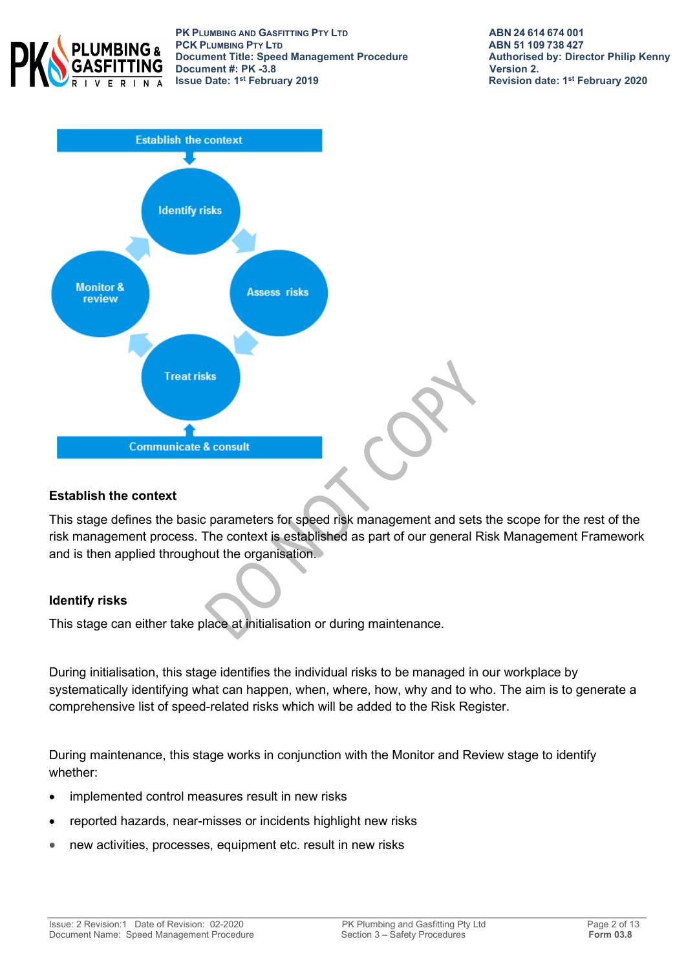

**PK PLUMBING AND GASFITTING PTY LTD ABN 24 614 674 001 PCK PLUMBING PTY LTD**<br> **PCK PLUMBING PTY LTD**<br> **Document Title:** Speed Management Procedure<br> **Authorised by: Director Philip Kenny Document Title: Speed Management Procedure Authorised By: Authorised by: Philip Authorised by: Director Philip Renally Reprised by: Director Philip By: Director Philip Renally Renally Renally Renally Renally Renally Renal Document #: PK -3.8**<br>**Issue Date: 1<sup>st</sup> February 2019** 



### **Establish the context**

This stage defines the basic parameters for speed risk management and sets the scope for the rest of the risk management process. The context is established as part of our general Risk Management Framework and is then applied throughout the organisation.

### **Identify risks**

This stage can either take place at initialisation or during maintenance.

During initialisation, this stage identifies the individual risks to be managed in our workplace by systematically identifying what can happen, when, where, how, why and to who. The aim is to generate a comprehensive list of speed-related risks which will be added to the Risk Register.

During maintenance, this stage works in conjunction with the Monitor and Review stage to identify whether:

- implemented control measures result in new risks
- reported hazards, near-misses or incidents highlight new risks
- new activities, processes, equipment etc. result in new risks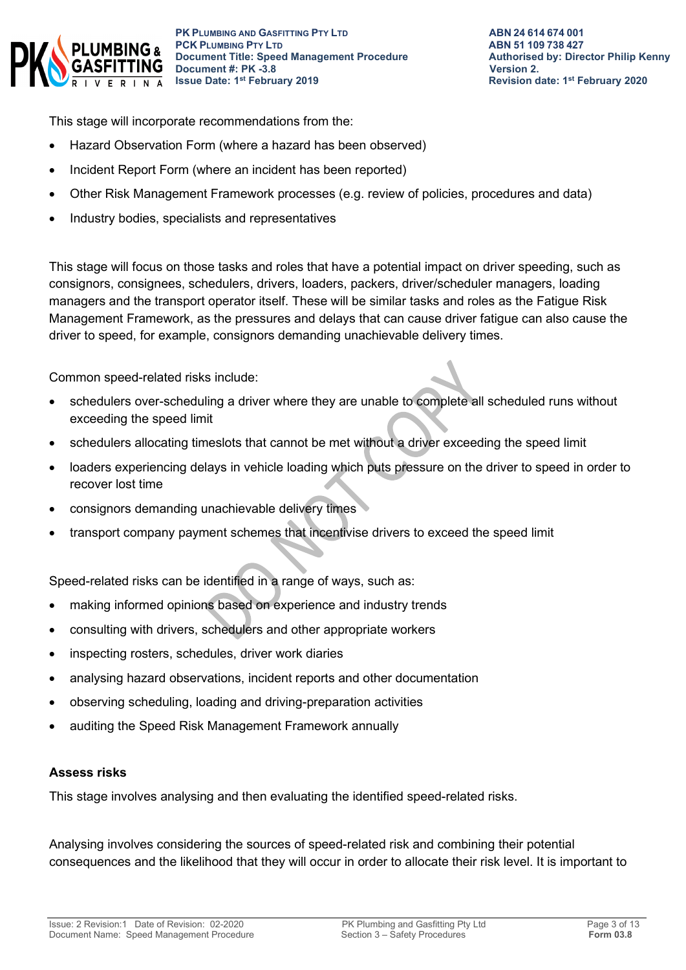

This stage will incorporate recommendations from the:

- Hazard Observation Form (where a hazard has been observed)
- Incident Report Form (where an incident has been reported)
- Other Risk Management Framework processes (e.g. review of policies, procedures and data)
- Industry bodies, specialists and representatives

This stage will focus on those tasks and roles that have a potential impact on driver speeding, such as consignors, consignees, schedulers, drivers, loaders, packers, driver/scheduler managers, loading managers and the transport operator itself. These will be similar tasks and roles as the Fatigue Risk Management Framework, as the pressures and delays that can cause driver fatigue can also cause the driver to speed, for example, consignors demanding unachievable delivery times.

Common speed-related risks include:

- schedulers over-scheduling a driver where they are unable to complete all scheduled runs without exceeding the speed limit
- schedulers allocating timeslots that cannot be met without a driver exceeding the speed limit
- loaders experiencing delays in vehicle loading which puts pressure on the driver to speed in order to recover lost time
- consignors demanding unachievable delivery times
- transport company payment schemes that incentivise drivers to exceed the speed limit

Speed-related risks can be identified in a range of ways, such as:

- making informed opinions based on experience and industry trends
- consulting with drivers, schedulers and other appropriate workers
- inspecting rosters, schedules, driver work diaries
- analysing hazard observations, incident reports and other documentation
- observing scheduling, loading and driving-preparation activities
- auditing the Speed Risk Management Framework annually

#### **Assess risks**

This stage involves analysing and then evaluating the identified speed-related risks.

Analysing involves considering the sources of speed-related risk and combining their potential consequences and the likelihood that they will occur in order to allocate their risk level. It is important to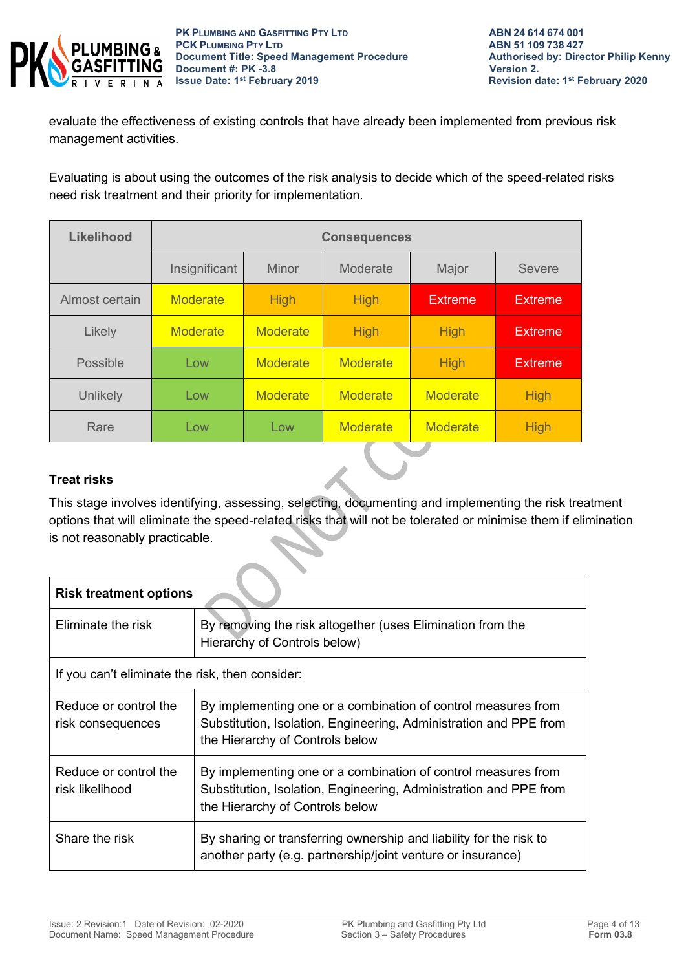

evaluate the effectiveness of existing controls that have already been implemented from previous risk management activities.

Evaluating is about using the outcomes of the risk analysis to decide which of the speed-related risks need risk treatment and their priority for implementation.

| <b>Likelihood</b> | <b>Consequences</b> |                 |                 |                 |                |
|-------------------|---------------------|-----------------|-----------------|-----------------|----------------|
|                   | Insignificant       | <b>Minor</b>    | Moderate        | Major           | <b>Severe</b>  |
| Almost certain    | <b>Moderate</b>     | <b>High</b>     | <b>High</b>     | <b>Extreme</b>  | <b>Extreme</b> |
| Likely            | <b>Moderate</b>     | <b>Moderate</b> | <b>High</b>     | <b>High</b>     | <b>Extreme</b> |
| Possible          | Low                 | <b>Moderate</b> | <b>Moderate</b> | <b>High</b>     | <b>Extreme</b> |
| Unlikely          | Low                 | <b>Moderate</b> | <b>Moderate</b> | <b>Moderate</b> | <b>High</b>    |
| Rare              | Low                 | Low             | <b>Moderate</b> | <b>Moderate</b> | <b>High</b>    |

### **Treat risks**

This stage involves identifying, assessing, selecting, documenting and implementing the risk treatment options that will eliminate the speed-related risks that will not be tolerated or minimise them if elimination is not reasonably practicable.

| <b>Risk treatment options</b>                   |                                                                                                                                                                       |  |  |  |
|-------------------------------------------------|-----------------------------------------------------------------------------------------------------------------------------------------------------------------------|--|--|--|
| Eliminate the risk                              | By removing the risk altogether (uses Elimination from the<br>Hierarchy of Controls below)                                                                            |  |  |  |
| If you can't eliminate the risk, then consider: |                                                                                                                                                                       |  |  |  |
| Reduce or control the<br>risk consequences      | By implementing one or a combination of control measures from<br>Substitution, Isolation, Engineering, Administration and PPE from<br>the Hierarchy of Controls below |  |  |  |
| Reduce or control the<br>risk likelihood        | By implementing one or a combination of control measures from<br>Substitution, Isolation, Engineering, Administration and PPE from<br>the Hierarchy of Controls below |  |  |  |
| Share the risk                                  | By sharing or transferring ownership and liability for the risk to<br>another party (e.g. partnership/joint venture or insurance)                                     |  |  |  |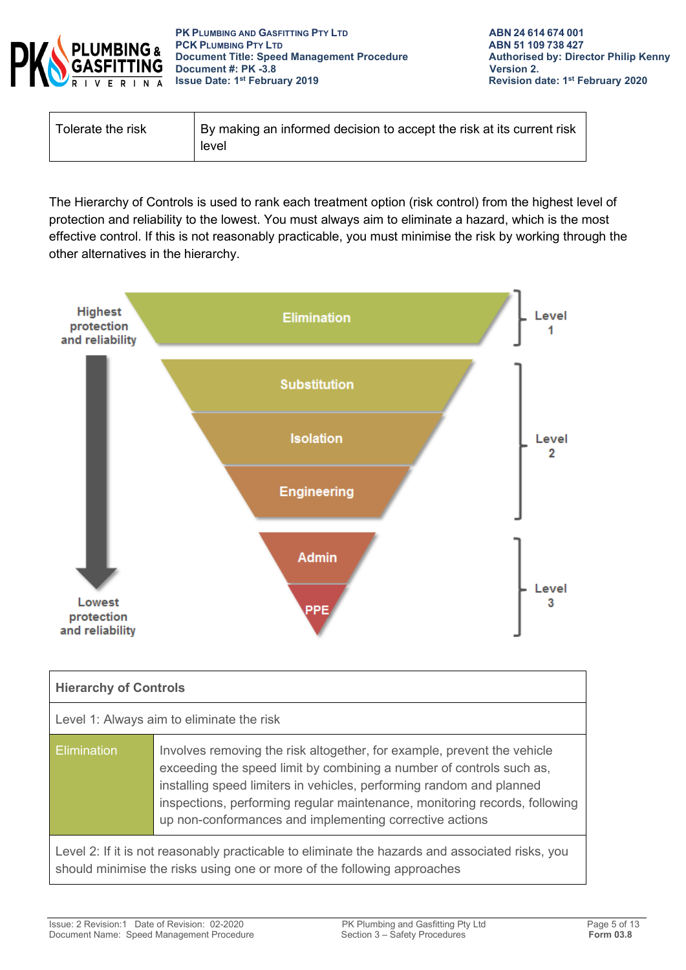

| Tolerate the risk | By making an informed decision to accept the risk at its current risk<br>level |
|-------------------|--------------------------------------------------------------------------------|
|                   |                                                                                |

The Hierarchy of Controls is used to rank each treatment option (risk control) from the highest level of protection and reliability to the lowest. You must always aim to eliminate a hazard, which is the most effective control. If this is not reasonably practicable, you must minimise the risk by working through the other alternatives in the hierarchy.



| <b>Hierarchy of Controls</b>                                                                                                                                               |                                                                                                                                                                                                                                                                                                                                                                  |  |
|----------------------------------------------------------------------------------------------------------------------------------------------------------------------------|------------------------------------------------------------------------------------------------------------------------------------------------------------------------------------------------------------------------------------------------------------------------------------------------------------------------------------------------------------------|--|
| Level 1: Always aim to eliminate the risk                                                                                                                                  |                                                                                                                                                                                                                                                                                                                                                                  |  |
| Elimination                                                                                                                                                                | Involves removing the risk altogether, for example, prevent the vehicle<br>exceeding the speed limit by combining a number of controls such as,<br>installing speed limiters in vehicles, performing random and planned<br>inspections, performing regular maintenance, monitoring records, following<br>up non-conformances and implementing corrective actions |  |
| Level 2: If it is not reasonably practicable to eliminate the hazards and associated risks, you<br>should minimise the risks using one or more of the following approaches |                                                                                                                                                                                                                                                                                                                                                                  |  |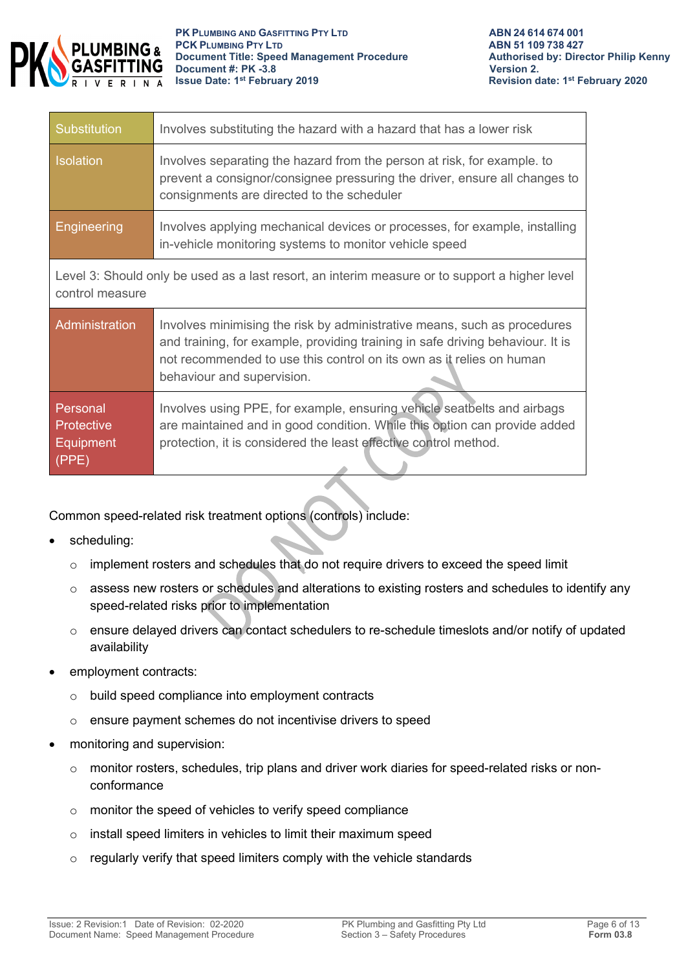

| Substitution                                                                                                      | Involves substituting the hazard with a hazard that has a lower risk                                                                                                                                                                                             |  |
|-------------------------------------------------------------------------------------------------------------------|------------------------------------------------------------------------------------------------------------------------------------------------------------------------------------------------------------------------------------------------------------------|--|
| <b>Isolation</b>                                                                                                  | Involves separating the hazard from the person at risk, for example, to<br>prevent a consignor/consignee pressuring the driver, ensure all changes to<br>consignments are directed to the scheduler                                                              |  |
| Engineering                                                                                                       | Involves applying mechanical devices or processes, for example, installing<br>in-vehicle monitoring systems to monitor vehicle speed                                                                                                                             |  |
| Level 3: Should only be used as a last resort, an interim measure or to support a higher level<br>control measure |                                                                                                                                                                                                                                                                  |  |
| Administration                                                                                                    | Involves minimising the risk by administrative means, such as procedures<br>and training, for example, providing training in safe driving behaviour. It is<br>not recommended to use this control on its own as it relies on human<br>behaviour and supervision. |  |

| Personal          | Involves using PPE, for example, ensuring vehicle seatbelts and airbags   |
|-------------------|---------------------------------------------------------------------------|
| <b>Protective</b> | are maintained and in good condition. While this option can provide added |
| Equipment         | protection, it is considered the least effective control method.          |
| (PPE)             |                                                                           |

Common speed-related risk treatment options (controls) include:

- scheduling:
	- o implement rosters and schedules that do not require drivers to exceed the speed limit
	- o assess new rosters or schedules and alterations to existing rosters and schedules to identify any speed-related risks prior to implementation
	- $\circ$  ensure delayed drivers can contact schedulers to re-schedule timeslots and/or notify of updated availability
- employment contracts:
	- o build speed compliance into employment contracts
	- o ensure payment schemes do not incentivise drivers to speed
- monitoring and supervision:
	- $\circ$  monitor rosters, schedules, trip plans and driver work diaries for speed-related risks or nonconformance
	- o monitor the speed of vehicles to verify speed compliance
	- o install speed limiters in vehicles to limit their maximum speed
	- o regularly verify that speed limiters comply with the vehicle standards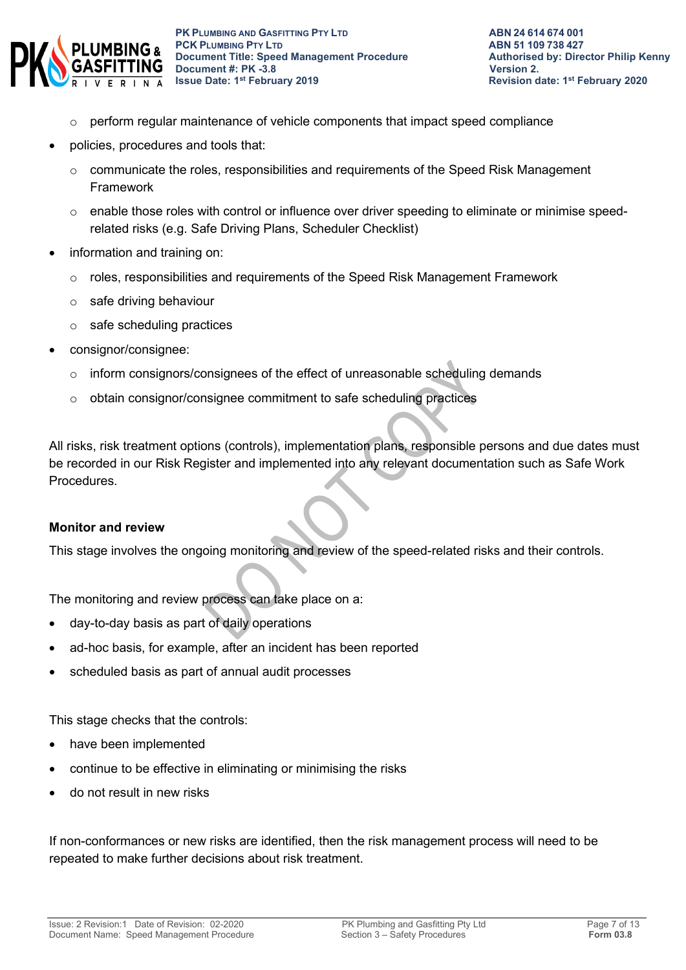

- $\circ$  perform regular maintenance of vehicle components that impact speed compliance
- policies, procedures and tools that:
	- o communicate the roles, responsibilities and requirements of the Speed Risk Management Framework
	- $\circ$  enable those roles with control or influence over driver speeding to eliminate or minimise speedrelated risks (e.g. Safe Driving Plans, Scheduler Checklist)
- information and training on:
	- $\circ$  roles, responsibilities and requirements of the Speed Risk Management Framework
	- o safe driving behaviour
	- o safe scheduling practices
- consignor/consignee:
	- o inform consignors/consignees of the effect of unreasonable scheduling demands
	- o obtain consignor/consignee commitment to safe scheduling practices

All risks, risk treatment options (controls), implementation plans, responsible persons and due dates must be recorded in our Risk Register and implemented into any relevant documentation such as Safe Work Procedures.

#### **Monitor and review**

This stage involves the ongoing monitoring and review of the speed-related risks and their controls.

The monitoring and review process can take place on a:

- day-to-day basis as part of daily operations
- ad-hoc basis, for example, after an incident has been reported
- scheduled basis as part of annual audit processes

This stage checks that the controls:

- have been implemented
- continue to be effective in eliminating or minimising the risks
- do not result in new risks

If non-conformances or new risks are identified, then the risk management process will need to be repeated to make further decisions about risk treatment.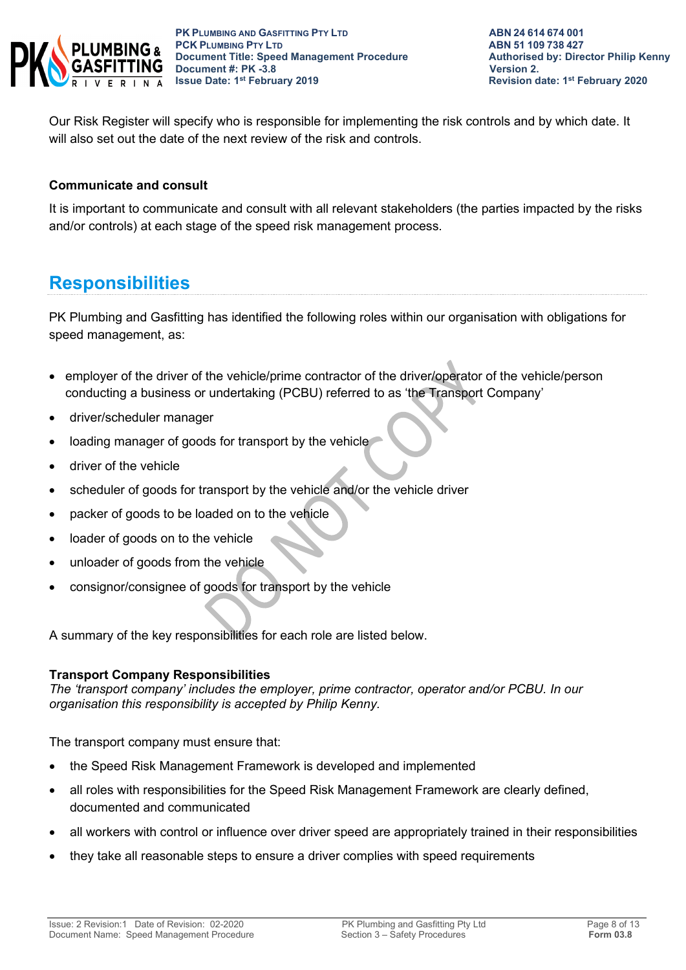

Our Risk Register will specify who is responsible for implementing the risk controls and by which date. It will also set out the date of the next review of the risk and controls.

#### **Communicate and consult**

It is important to communicate and consult with all relevant stakeholders (the parties impacted by the risks and/or controls) at each stage of the speed risk management process.

# **Responsibilities**

PK Plumbing and Gasfitting has identified the following roles within our organisation with obligations for speed management, as:

- employer of the driver of the vehicle/prime contractor of the driver/operator of the vehicle/person conducting a business or undertaking (PCBU) referred to as 'the Transport Company'
- driver/scheduler manager
- loading manager of goods for transport by the vehicle
- driver of the vehicle
- scheduler of goods for transport by the vehicle and/or the vehicle driver
- packer of goods to be loaded on to the vehicle
- loader of goods on to the vehicle
- unloader of goods from the vehicle
- consignor/consignee of goods for transport by the vehicle

A summary of the key responsibilities for each role are listed below.

#### **Transport Company Responsibilities**

*The 'transport company' includes the employer, prime contractor, operator and/or PCBU. In our organisation this responsibility is accepted by Philip Kenny.*

The transport company must ensure that:

- the Speed Risk Management Framework is developed and implemented
- all roles with responsibilities for the Speed Risk Management Framework are clearly defined, documented and communicated
- all workers with control or influence over driver speed are appropriately trained in their responsibilities
- they take all reasonable steps to ensure a driver complies with speed requirements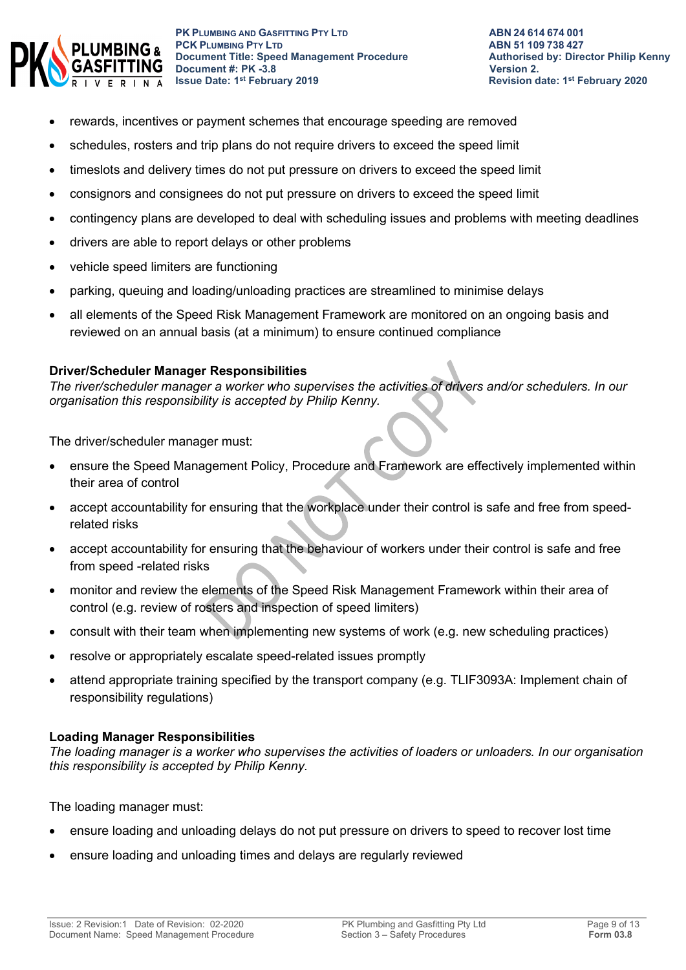

- rewards, incentives or payment schemes that encourage speeding are removed
- schedules, rosters and trip plans do not require drivers to exceed the speed limit
- timeslots and delivery times do not put pressure on drivers to exceed the speed limit
- consignors and consignees do not put pressure on drivers to exceed the speed limit
- contingency plans are developed to deal with scheduling issues and problems with meeting deadlines
- drivers are able to report delays or other problems
- vehicle speed limiters are functioning
- parking, queuing and loading/unloading practices are streamlined to minimise delays
- all elements of the Speed Risk Management Framework are monitored on an ongoing basis and reviewed on an annual basis (at a minimum) to ensure continued compliance

#### **Driver/Scheduler Manager Responsibilities**

*The river/scheduler manager a worker who supervises the activities of drivers and/or schedulers. In our organisation this responsibility is accepted by Philip Kenny.*

The driver/scheduler manager must:

- ensure the Speed Management Policy, Procedure and Framework are effectively implemented within their area of control
- accept accountability for ensuring that the workplace under their control is safe and free from speedrelated risks
- accept accountability for ensuring that the behaviour of workers under their control is safe and free from speed -related risks
- monitor and review the elements of the Speed Risk Management Framework within their area of control (e.g. review of rosters and inspection of speed limiters)
- consult with their team when implementing new systems of work (e.g. new scheduling practices)
- resolve or appropriately escalate speed-related issues promptly
- attend appropriate training specified by the transport company (e.g. TLIF3093A: Implement chain of responsibility regulations)

### **Loading Manager Responsibilities**

*The loading manager is a worker who supervises the activities of loaders or unloaders. In our organisation this responsibility is accepted by Philip Kenny.*

The loading manager must:

- ensure loading and unloading delays do not put pressure on drivers to speed to recover lost time
- ensure loading and unloading times and delays are regularly reviewed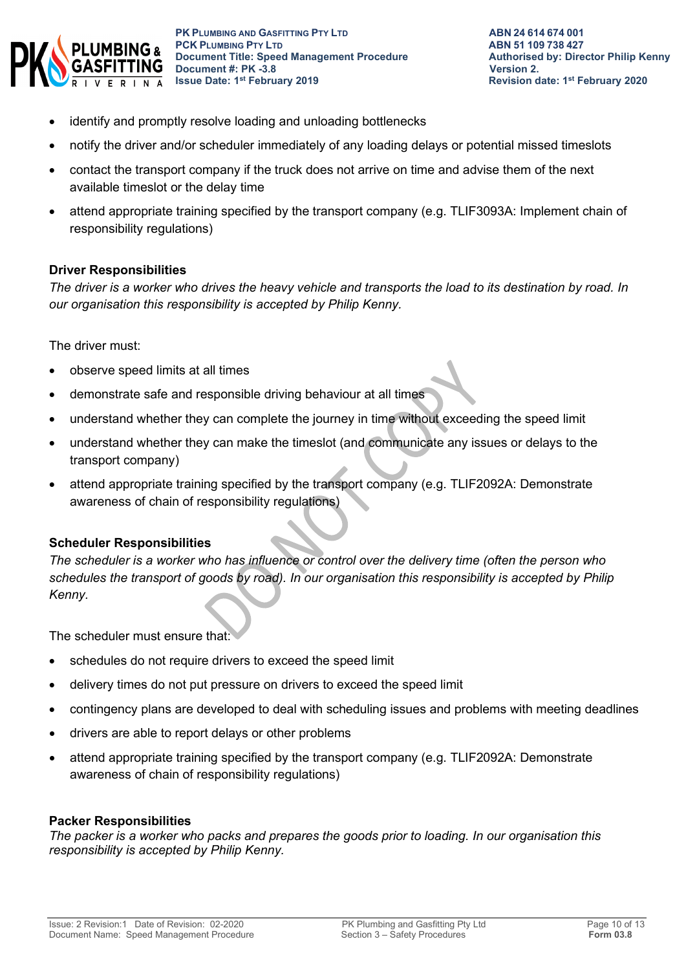

- identify and promptly resolve loading and unloading bottlenecks
- notify the driver and/or scheduler immediately of any loading delays or potential missed timeslots
- contact the transport company if the truck does not arrive on time and advise them of the next available timeslot or the delay time
- attend appropriate training specified by the transport company (e.g. TLIF3093A: Implement chain of responsibility regulations)

#### **Driver Responsibilities**

*The driver is a worker who drives the heavy vehicle and transports the load to its destination by road. In our organisation this responsibility is accepted by Philip Kenny.*

The driver must:

- observe speed limits at all times
- demonstrate safe and responsible driving behaviour at all times
- understand whether they can complete the journey in time without exceeding the speed limit
- understand whether they can make the timeslot (and communicate any issues or delays to the transport company)
- attend appropriate training specified by the transport company (e.g. TLIF2092A: Demonstrate awareness of chain of responsibility regulations)

#### **Scheduler Responsibilities**

*The scheduler is a worker who has influence or control over the delivery time (often the person who schedules the transport of goods by road). In our organisation this responsibility is accepted by Philip Kenny.*

The scheduler must ensure that:

- schedules do not require drivers to exceed the speed limit
- delivery times do not put pressure on drivers to exceed the speed limit
- contingency plans are developed to deal with scheduling issues and problems with meeting deadlines
- drivers are able to report delays or other problems
- attend appropriate training specified by the transport company (e.g. TLIF2092A: Demonstrate awareness of chain of responsibility regulations)

#### **Packer Responsibilities**

*The packer is a worker who packs and prepares the goods prior to loading. In our organisation this responsibility is accepted by Philip Kenny.*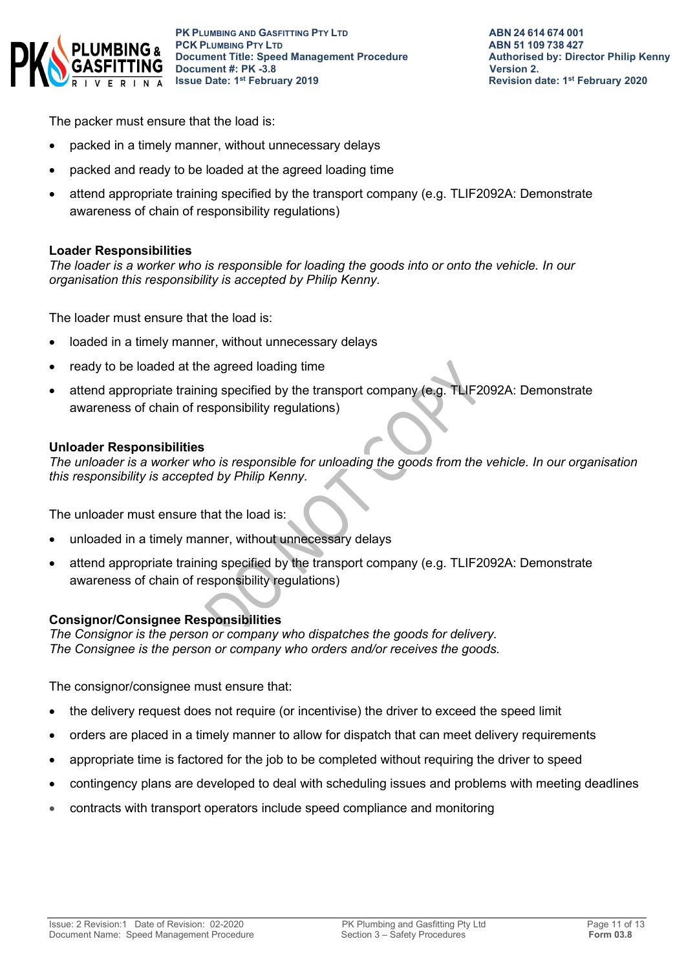

The packer must ensure that the load is:

- packed in a timely manner, without unnecessary delays
- packed and ready to be loaded at the agreed loading time
- attend appropriate training specified by the transport company (e.g. TLIF2092A: Demonstrate awareness of chain of responsibility regulations)

#### **Loader Responsibilities**

*The loader is a worker who is responsible for loading the goods into or onto the vehicle. In our organisation this responsibility is accepted by Philip Kenny.*

The loader must ensure that the load is:

- loaded in a timely manner, without unnecessary delays
- ready to be loaded at the agreed loading time
- attend appropriate training specified by the transport company (e.g. TLIF2092A: Demonstrate awareness of chain of responsibility regulations)

#### **Unloader Responsibilities**

*The unloader is a worker who is responsible for unloading the goods from the vehicle. In our organisation this responsibility is accepted by Philip Kenny.*

The unloader must ensure that the load is:

- unloaded in a timely manner, without unnecessary delays
- attend appropriate training specified by the transport company (e.g. TLIF2092A: Demonstrate awareness of chain of responsibility regulations)

#### **Consignor/Consignee Responsibilities**

*The Consignor is the person or company who dispatches the goods for delivery. The Consignee is the person or company who orders and/or receives the goods.* 

The consignor/consignee must ensure that:

- the delivery request does not require (or incentivise) the driver to exceed the speed limit
- orders are placed in a timely manner to allow for dispatch that can meet delivery requirements
- appropriate time is factored for the job to be completed without requiring the driver to speed
- contingency plans are developed to deal with scheduling issues and problems with meeting deadlines
- contracts with transport operators include speed compliance and monitoring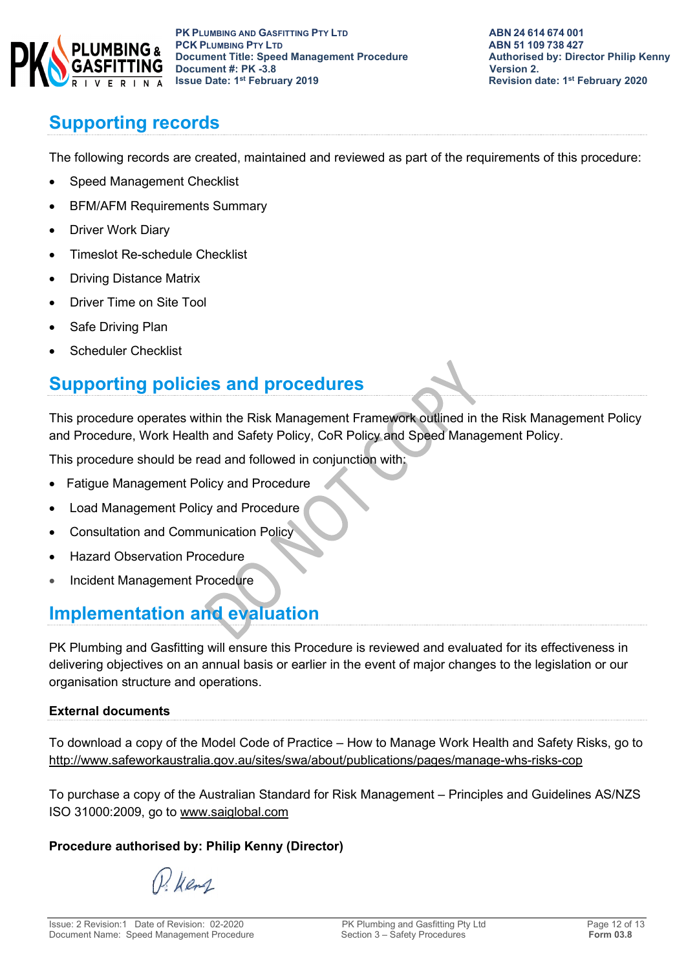

# **Supporting records**

The following records are created, maintained and reviewed as part of the requirements of this procedure:

- Speed Management Checklist
- BFM/AFM Requirements Summary
- Driver Work Diary
- Timeslot Re-schedule Checklist
- Driving Distance Matrix
- Driver Time on Site Tool
- Safe Driving Plan
- Scheduler Checklist

# **Supporting policies and procedures**

This procedure operates within the Risk Management Framework outlined in the Risk Management Policy and Procedure, Work Health and Safety Policy, CoR Policy and Speed Management Policy.

This procedure should be read and followed in conjunction with:

- Fatigue Management Policy and Procedure
- Load Management Policy and Procedure
- Consultation and Communication Policy
- Hazard Observation Procedure
- Incident Management Procedure

# **Implementation and evaluation**

PK Plumbing and Gasfitting will ensure this Procedure is reviewed and evaluated for its effectiveness in delivering objectives on an annual basis or earlier in the event of major changes to the legislation or our organisation structure and operations.

### **External documents**

To download a copy of the Model Code of Practice – How to Manage Work Health and Safety Risks, go to <http://www.safeworkaustralia.gov.au/sites/swa/about/publications/pages/manage-whs-risks-cop>

To purchase a copy of the Australian Standard for Risk Management – Principles and Guidelines AS/NZS ISO 31000:2009, go to [www.saiglobal.com](http://www.saiglobal.com/)

### **Procedure authorised by: Philip Kenny (Director)**

P. Kens